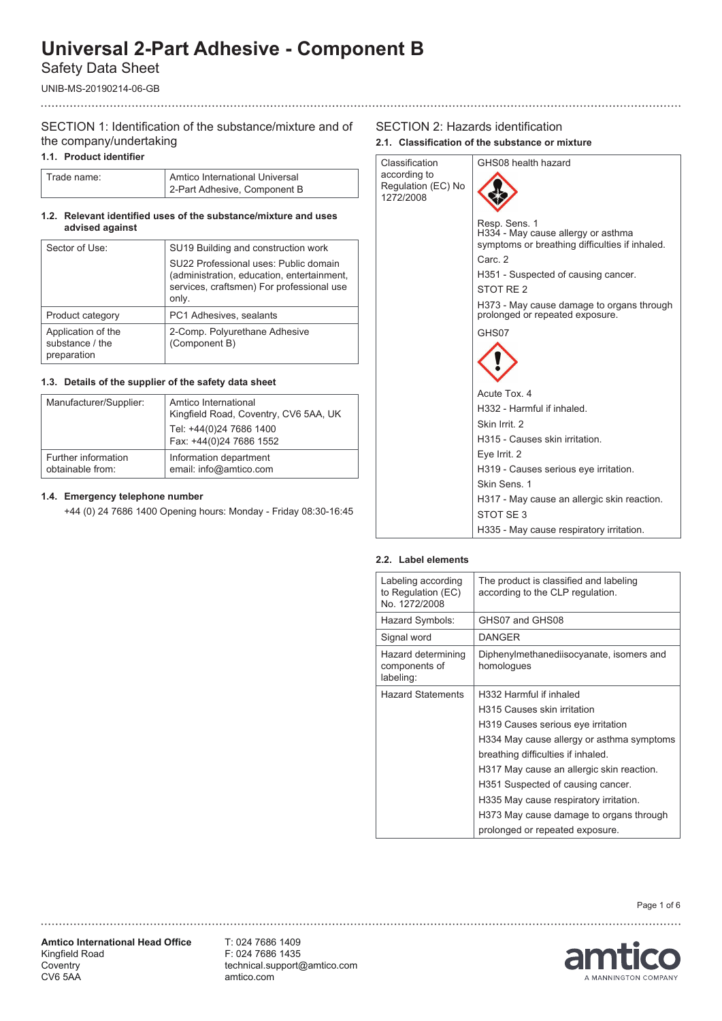Safety Data Sheet

UNIB-MS-20190214-06-GB

# SECTION 1: Identification of the substance/mixture and of the company/undertaking

#### **1.1. Product identifier**

| Trade name: | Amtico International Universal |
|-------------|--------------------------------|
|             | 2-Part Adhesive, Component B   |

#### **1.2. Relevant identified uses of the substance/mixture and uses advised against**

| Sector of Use:                                       | SU19 Building and construction work                                                                                                       |
|------------------------------------------------------|-------------------------------------------------------------------------------------------------------------------------------------------|
|                                                      | SU22 Professional uses: Public domain<br>(administration, education, entertainment,<br>services, craftsmen) For professional use<br>only. |
| Product category                                     | PC1 Adhesives, sealants                                                                                                                   |
| Application of the<br>substance / the<br>preparation | 2-Comp. Polyurethane Adhesive<br>(Component B)                                                                                            |

### **1.3. Details of the supplier of the safety data sheet**

| Manufacturer/Supplier:                  | Amtico International<br>Kingfield Road, Coventry, CV6 5AA, UK<br>Tel: +44(0)24 7686 1400<br>Fax: +44(0)24 7686 1552 |
|-----------------------------------------|---------------------------------------------------------------------------------------------------------------------|
| Further information<br>obtainable from: | Information department<br>email: info@amtico.com                                                                    |

#### **1.4. Emergency telephone number**

+44 (0) 24 7686 1400 Opening hours: Monday - Friday 08:30-16:45

#### SECTION 2: Hazards identification **2.1. Classification of the substance or mixture**



#### **2.2. Label elements**

| Labeling according<br>to Regulation (EC)<br>No. 1272/2008 | The product is classified and labeling<br>according to the CLP regulation. |
|-----------------------------------------------------------|----------------------------------------------------------------------------|
| Hazard Symbols:                                           | GHS07 and GHS08                                                            |
| Signal word                                               | <b>DANGER</b>                                                              |
| Hazard determining<br>components of<br>labeling:          | Diphenylmethanediisocyanate, isomers and<br>homologues                     |
| <b>Hazard Statements</b>                                  | H332 Harmful if inhaled                                                    |
|                                                           | H315 Causes skin irritation                                                |
|                                                           | H319 Causes serious eye irritation                                         |
|                                                           | H334 May cause allergy or asthma symptoms                                  |
|                                                           | breathing difficulties if inhaled.                                         |
|                                                           | H317 May cause an allergic skin reaction.                                  |
|                                                           | H351 Suspected of causing cancer.                                          |
|                                                           | H335 May cause respiratory irritation.                                     |
|                                                           | H373 May cause damage to organs through                                    |
|                                                           | prolonged or repeated exposure.                                            |

Page 1 of 6

**Amtico International Head Office** Kingfield Road **Coventry** CV6 5AA

T: 024 7686 1409 F: 024 7686 1435 technical.support@amtico.com amtico.com

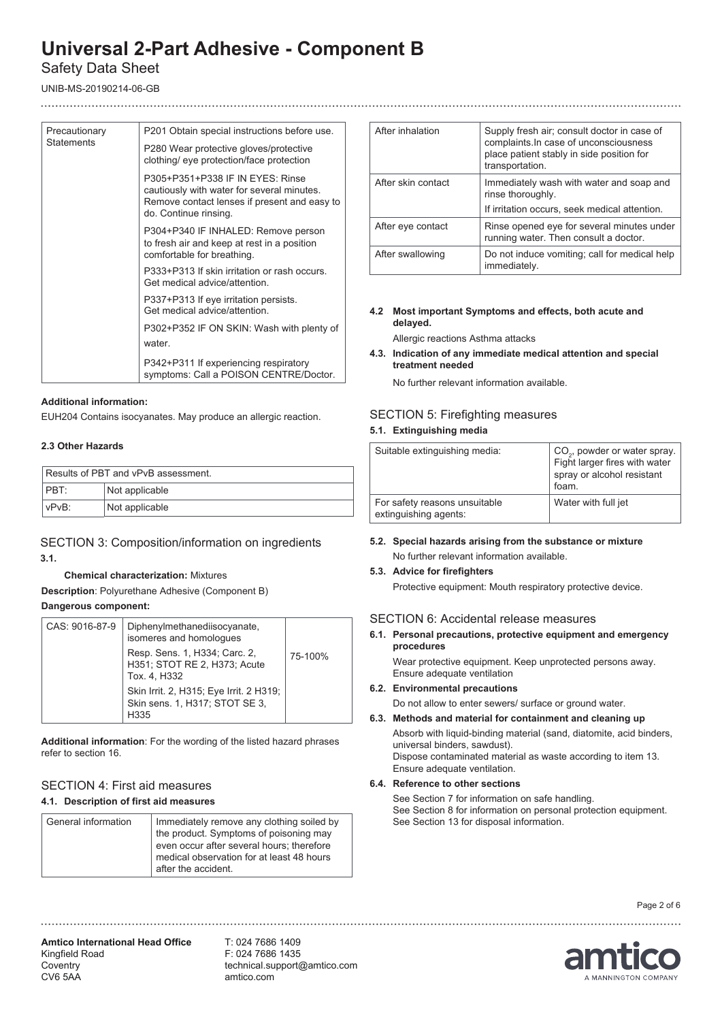# Safety Data Sheet

UNIB-MS-20190214-06-GB

| Precautionary<br><b>Statements</b> | P201 Obtain special instructions before use.                                                                                                            |
|------------------------------------|---------------------------------------------------------------------------------------------------------------------------------------------------------|
|                                    | P280 Wear protective gloves/protective<br>clothing/ eye protection/face protection                                                                      |
|                                    | P305+P351+P338 IF IN EYES: Rinse<br>cautiously with water for several minutes.<br>Remove contact lenses if present and easy to<br>do. Continue rinsing. |
|                                    | P304+P340 IF INHALED: Remove person<br>to fresh air and keep at rest in a position<br>comfortable for breathing.                                        |
|                                    | P333+P313 If skin irritation or rash occurs.<br>Get medical advice/attention.                                                                           |
|                                    | P337+P313 If eye irritation persists.<br>Get medical advice/attention.                                                                                  |
|                                    | P302+P352 IF ON SKIN: Wash with plenty of                                                                                                               |
|                                    | water.                                                                                                                                                  |
|                                    | P342+P311 If experiencing respiratory<br>symptoms: Call a POISON CENTRE/Doctor.                                                                         |

#### **Additional information:**

EUH204 Contains isocyanates. May produce an allergic reaction.

#### **2.3 Other Hazards**

|          | Results of PBT and vPvB assessment. |
|----------|-------------------------------------|
| $ $ PBT: | Not applicable                      |
| VPvB:    | Not applicable                      |

## SECTION 3: Composition/information on ingredients **3.1.**

#### **Chemical characterization:** Mixtures

**Description**: Polyurethane Adhesive (Component B) **Dangerous component:**

| CAS: 9016-87-9 | Diphenylmethanediisocyanate,<br>isomeres and homologues                           |         |
|----------------|-----------------------------------------------------------------------------------|---------|
|                | Resp. Sens. 1, H334; Carc. 2,<br>H351; STOT RE 2, H373; Acute<br>Tox. 4, H332     | 75-100% |
|                | Skin Irrit. 2, H315; Eye Irrit. 2 H319;<br>Skin sens. 1, H317; STOT SE 3,<br>H335 |         |
|                |                                                                                   |         |

**Additional information**: For the wording of the listed hazard phrases refer to section 16.

#### SECTION 4: First aid measures **4.1. Description of first aid measures**

| General information | Immediately remove any clothing soiled by<br>the product. Symptoms of poisoning may<br>even occur after several hours; therefore<br>medical observation for at least 48 hours<br>after the accident. |
|---------------------|------------------------------------------------------------------------------------------------------------------------------------------------------------------------------------------------------|
|---------------------|------------------------------------------------------------------------------------------------------------------------------------------------------------------------------------------------------|

| After inhalation   | Supply fresh air; consult doctor in case of<br>complaints. In case of unconsciousness<br>place patient stably in side position for |
|--------------------|------------------------------------------------------------------------------------------------------------------------------------|
|                    | transportation.                                                                                                                    |
| After skin contact | Immediately wash with water and soap and<br>rinse thoroughly.                                                                      |
|                    | If irritation occurs, seek medical attention.                                                                                      |
| After eye contact  | Rinse opened eye for several minutes under<br>running water. Then consult a doctor.                                                |
| After swallowing   | Do not induce vomiting; call for medical help<br>immediately.                                                                      |

#### **4.2 Most important Symptoms and effects, both acute and delayed.**

Allergic reactions Asthma attacks

**4.3. Indication of any immediate medical attention and special treatment needed**

No further relevant information available.

### SECTION 5: Firefighting measures **5.1. Extinguishing media**

| Suitable extinguishing media:                          | CO <sub>2</sub> , powder or water spray.<br>Fight larger fires with water<br>spray or alcohol resistant<br>foam. |
|--------------------------------------------------------|------------------------------------------------------------------------------------------------------------------|
| For safety reasons unsuitable<br>extinguishing agents: | Water with full jet                                                                                              |

**5.2. Special hazards arising from the substance or mixture** No further relevant information available.

#### **5.3. Advice for firefighters**

Protective equipment: Mouth respiratory protective device.

#### SECTION 6: Accidental release measures

**6.1. Personal precautions, protective equipment and emergency procedures**

Wear protective equipment. Keep unprotected persons away. Ensure adequate ventilation

#### **6.2. Environmental precautions**

Do not allow to enter sewers/ surface or ground water.

**6.3. Methods and material for containment and cleaning up** Absorb with liquid-binding material (sand, diatomite, acid binders, universal binders, sawdust). Dispose contaminated material as waste according to item 13. Ensure adequate ventilation.

#### **6.4. Reference to other sections**

 See Section 7 for information on safe handling. See Section 8 for information on personal protection equipment. See Section 13 for disposal information.

Page 2 of 6

**Amtico International Head Office** Kingfield Road **Coventry** CV6 5AA

T: 024 7686 1409 F: 024 7686 1435 technical.support@amtico.com amtico.com

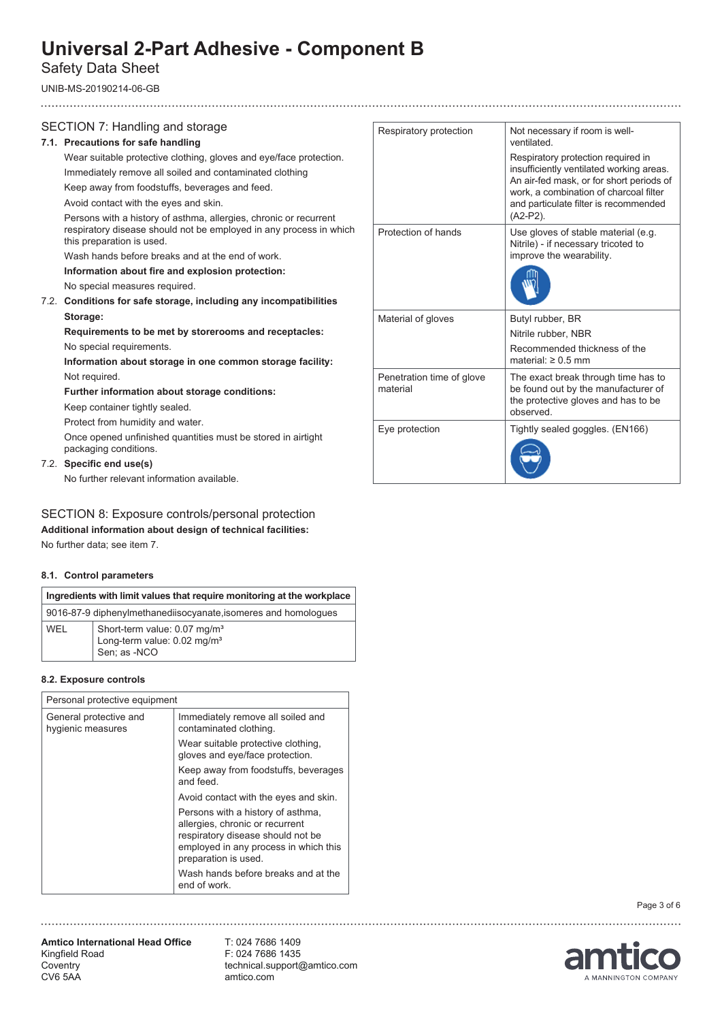# Safety Data Sheet

UNIB-MS-20190214-06-GB

## SECTION 7: Handling and storage

### **7.1. Precautions for safe handling**

Wear suitable protective clothing, gloves and eye/face protection.

Immediately remove all soiled and contaminated clothing Keep away from foodstuffs, beverages and feed.

Avoid contact with the eyes and skin.

 Persons with a history of asthma, allergies, chronic or recurrent respiratory disease should not be employed in any process in which this preparation is used.

Wash hands before breaks and at the end of work.

**Information about fire and explosion protection:** 

No special measures required.

7.2. **Conditions for safe storage, including any incompatibilities Storage:** 

## **Requirements to be met by storerooms and receptacles:** No special requirements.

**Information about storage in one common storage facility:**  Not required.

**Further information about storage conditions:**

Keep container tightly sealed.

Protect from humidity and water.

Once opened unfinished quantities must be stored in airtight packaging conditions.

# 7.2. **Specific end use(s)**

No further relevant information available.

# SECTION 8: Exposure controls/personal protection

**Additional information about design of technical facilities:**

# No further data; see item 7.

## **8.1. Control parameters**

| Ingredients with limit values that require monitoring at the workplace |                                                                                                     |  |
|------------------------------------------------------------------------|-----------------------------------------------------------------------------------------------------|--|
| 9016-87-9 diphenylmethanediisocyanate, isomeres and homologues         |                                                                                                     |  |
| WFI                                                                    | Short-term value: 0.07 mg/m <sup>3</sup><br>Long-term value: 0.02 mg/m <sup>3</sup><br>Sen; as -NCO |  |

### **8.2. Exposure controls**

| Personal protective equipment               |                                                                                                                                                                            |
|---------------------------------------------|----------------------------------------------------------------------------------------------------------------------------------------------------------------------------|
| General protective and<br>hygienic measures | Immediately remove all soiled and<br>contaminated clothing.                                                                                                                |
|                                             | Wear suitable protective clothing,<br>gloves and eye/face protection.                                                                                                      |
|                                             | Keep away from foodstuffs, beverages<br>and feed.                                                                                                                          |
|                                             | Avoid contact with the eyes and skin.                                                                                                                                      |
|                                             | Persons with a history of asthma,<br>allergies, chronic or recurrent<br>respiratory disease should not be<br>employed in any process in which this<br>preparation is used. |
|                                             | Wash hands before breaks and at the<br>end of work.                                                                                                                        |

| Respiratory protection                | Not necessary if room is well-<br>ventilated.<br>Respiratory protection required in<br>insufficiently ventilated working areas.<br>An air-fed mask, or for short periods of<br>work, a combination of charcoal filter<br>and particulate filter is recommended |
|---------------------------------------|----------------------------------------------------------------------------------------------------------------------------------------------------------------------------------------------------------------------------------------------------------------|
|                                       | (A2-P2).                                                                                                                                                                                                                                                       |
| Protection of hands                   | Use gloves of stable material (e.g.<br>Nitrile) - if necessary tricoted to<br>improve the wearability.                                                                                                                                                         |
|                                       |                                                                                                                                                                                                                                                                |
| Material of gloves                    | Butyl rubber, BR                                                                                                                                                                                                                                               |
|                                       | Nitrile rubber, NBR                                                                                                                                                                                                                                            |
|                                       | Recommended thickness of the<br>material: $\geq 0.5$ mm                                                                                                                                                                                                        |
| Penetration time of glove<br>material | The exact break through time has to<br>be found out by the manufacturer of<br>the protective gloves and has to be<br>observed                                                                                                                                  |
| Eye protection                        | Tightly sealed goggles. (EN166)                                                                                                                                                                                                                                |
|                                       |                                                                                                                                                                                                                                                                |

Page 3 of 6

**Amtico International Head Office** Kingfield Road **Coventry** CV6 5AA

T: 024 7686 1409 F: 024 7686 1435 technical.support@amtico.com amtico.com



..................................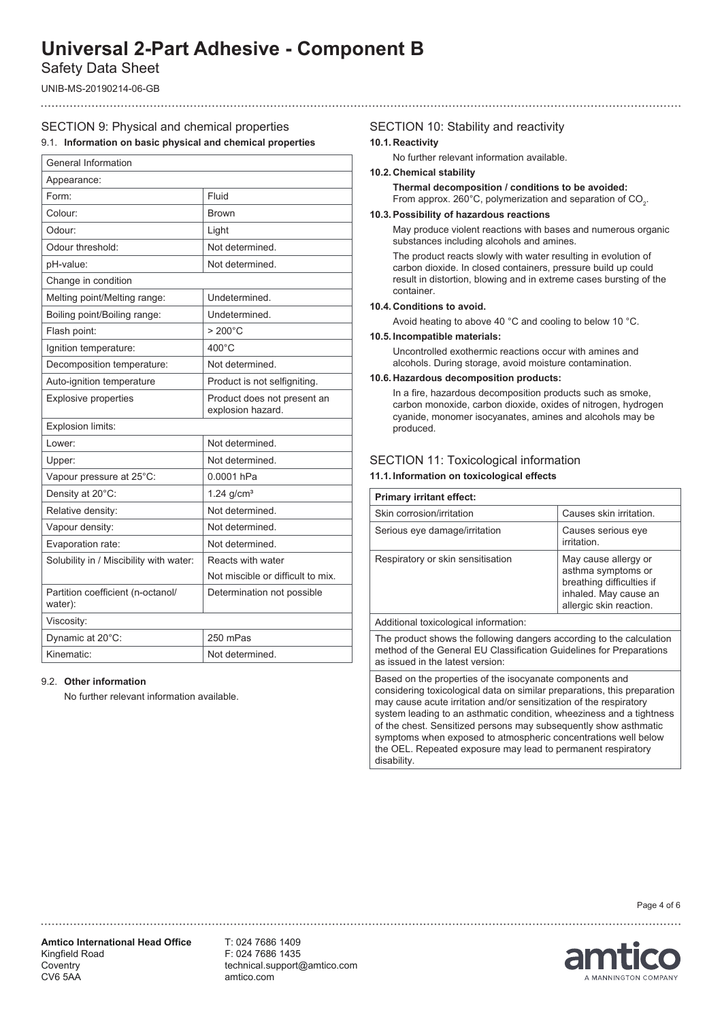Safety Data Sheet

UNIB-MS-20190214-06-GB

## SECTION 9: Physical and chemical properties

#### 9.1. **Information on basic physical and chemical properties**

| General Information                          |                                                  |
|----------------------------------------------|--------------------------------------------------|
| Appearance:                                  |                                                  |
| Form:                                        | Fluid                                            |
| Colour:                                      | <b>Brown</b>                                     |
| Odour:                                       | Light                                            |
| Odour threshold:                             | Not determined.                                  |
| pH-value:                                    | Not determined.                                  |
| Change in condition                          |                                                  |
| Melting point/Melting range:                 | Undetermined.                                    |
| Boiling point/Boiling range:                 | Undetermined.                                    |
| Flash point:                                 | $>200^{\circ}$ C                                 |
| Ignition temperature:                        | $400^{\circ}$ C                                  |
| Decomposition temperature:                   | Not determined.                                  |
| Auto-ignition temperature                    | Product is not selfigniting.                     |
| <b>Explosive properties</b>                  | Product does not present an<br>explosion hazard. |
| Explosion limits:                            |                                                  |
| Lower:                                       | Not determined.                                  |
| Upper:                                       | Not determined.                                  |
| Vapour pressure at 25°C:                     | 0.0001 hPa                                       |
| Density at 20°C:                             | $1.24$ g/cm <sup>3</sup>                         |
| Relative density:                            | Not determined.                                  |
| Vapour density:                              | Not determined.                                  |
| Evaporation rate:                            | Not determined.                                  |
| Solubility in / Miscibility with water:      | Reacts with water                                |
|                                              | Not miscible or difficult to mix.                |
| Partition coefficient (n-octanol/<br>water): | Determination not possible                       |
| Viscosity:                                   |                                                  |
| Dynamic at 20°C:                             | 250 mPas                                         |
| Kinematic:                                   | Not determined.                                  |

#### 9.2. **Other information**

No further relevant information available.

### SECTION 10: Stability and reactivity **10.1. Reactivity**

No further relevant information available.

#### **10.2. Chemical stability**

**Thermal decomposition / conditions to be avoided:** From approx. 260°C, polymerization and separation of CO<sub>2</sub>.

#### **10.3.Possibility of hazardous reactions**

 May produce violent reactions with bases and numerous organic substances including alcohols and amines.

 The product reacts slowly with water resulting in evolution of carbon dioxide. In closed containers, pressure build up could result in distortion, blowing and in extreme cases bursting of the container.

#### **10.4. Conditions to avoid.**

Avoid heating to above 40 °C and cooling to below 10 °C.

# **10.5. Incompatible materials:**

Uncontrolled exothermic reactions occur with amines and alcohols. During storage, avoid moisture contamination.

#### **10.6. Hazardous decomposition products:**

 In a fire, hazardous decomposition products such as smoke, carbon monoxide, carbon dioxide, oxides of nitrogen, hydrogen cyanide, monomer isocyanates, amines and alcohols may be produced.

### SECTION 11: Toxicological information

#### **11.1. Information on toxicological effects**

| <b>Primary irritant effect:</b>                                                                                                                                                 |                                                                                                                             |
|---------------------------------------------------------------------------------------------------------------------------------------------------------------------------------|-----------------------------------------------------------------------------------------------------------------------------|
| Skin corrosion/irritation                                                                                                                                                       | Causes skin irritation.                                                                                                     |
| Serious eye damage/irritation                                                                                                                                                   | Causes serious eye<br>irritation                                                                                            |
| Respiratory or skin sensitisation                                                                                                                                               | May cause allergy or<br>asthma symptoms or<br>breathing difficulties if<br>inhaled. May cause an<br>allergic skin reaction. |
| Additional toxicological information:                                                                                                                                           |                                                                                                                             |
| The product shows the following dangers according to the calculation<br>method of the General EU Classification Guidelines for Preparations<br>as issued in the latest version: |                                                                                                                             |

Based on the properties of the isocyanate components and considering toxicological data on similar preparations, this preparation may cause acute irritation and/or sensitization of the respiratory system leading to an asthmatic condition, wheeziness and a tightness of the chest. Sensitized persons may subsequently show asthmatic symptoms when exposed to atmospheric concentrations well below the OEL. Repeated exposure may lead to permanent respiratory disability.

Page 4 of 6

**Amtico International Head Office** Kingfield Road **Coventry** CV6 5AA

T: 024 7686 1409 F: 024 7686 1435 technical.support@amtico.com amtico.com

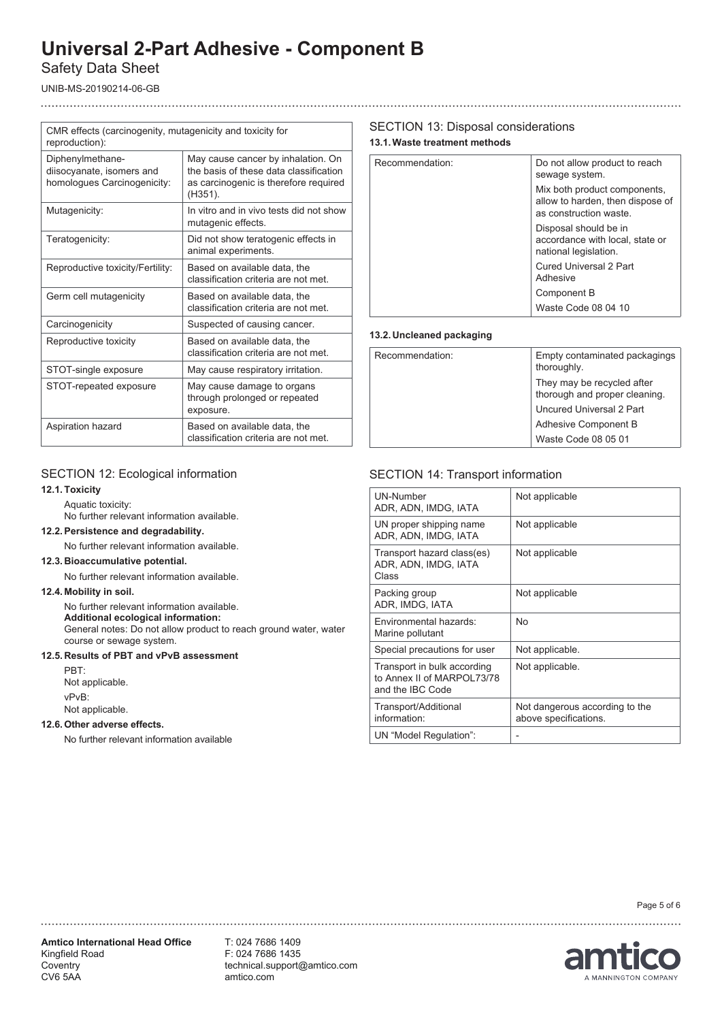# Safety Data Sheet

UNIB-MS-20190214-06-GB

| CMR effects (carcinogenity, mutagenicity and toxicity for<br>reproduction):  |                                                                                                                                  |
|------------------------------------------------------------------------------|----------------------------------------------------------------------------------------------------------------------------------|
| Diphenylmethane-<br>diisocyanate, isomers and<br>homologues Carcinogenicity: | May cause cancer by inhalation. On<br>the basis of these data classification<br>as carcinogenic is therefore required<br>(H351). |
| Mutagenicity:                                                                | In vitro and in vivo tests did not show<br>mutagenic effects.                                                                    |
| Teratogenicity:                                                              | Did not show teratogenic effects in<br>animal experiments.                                                                       |
| Reproductive toxicity/Fertility:                                             | Based on available data, the<br>classification criteria are not met.                                                             |
| Germ cell mutagenicity                                                       | Based on available data, the<br>classification criteria are not met.                                                             |
| Carcinogenicity                                                              | Suspected of causing cancer.                                                                                                     |
| Reproductive toxicity                                                        | Based on available data, the<br>classification criteria are not met.                                                             |
| STOT-single exposure                                                         | May cause respiratory irritation.                                                                                                |
| STOT-repeated exposure                                                       | May cause damage to organs<br>through prolonged or repeated<br>exposure.                                                         |
| Aspiration hazard                                                            | Based on available data, the<br>classification criteria are not met.                                                             |

# SECTION 13: Disposal considerations

**13.1.Waste treatment methods**

| Recommendation: | Do not allow product to reach<br>sewage system.                                            |
|-----------------|--------------------------------------------------------------------------------------------|
|                 | Mix both product components,<br>allow to harden, then dispose of<br>as construction waste. |
|                 | Disposal should be in<br>accordance with local, state or<br>national legislation.          |
|                 | <b>Cured Universal 2 Part</b><br>Adhesive                                                  |
|                 | Component B                                                                                |
|                 | Waste Code 08 04 10                                                                        |

## **13.2. Uncleaned packaging**

| Recommendation: | Empty contaminated packagings<br>thoroughly.                |
|-----------------|-------------------------------------------------------------|
|                 | They may be recycled after<br>thorough and proper cleaning. |
|                 | Uncured Universal 2 Part                                    |
|                 | Adhesive Component B                                        |
|                 | Waste Code 08 05 01                                         |

## SECTION 12: Ecological information

### **12.1. Toxicity**

Aquatic toxicity:

No further relevant information available.

#### **12.2. Persistence and degradability.**

No further relevant information available.

#### **12.3. Bioaccumulative potential.**

No further relevant information available.

#### **12.4. Mobility in soil.**

No further relevant information available.  **Additional ecological information:** General notes: Do not allow product to reach ground water, water course or sewage system.

### **12.5. Results of PBT and vPvB assessment**

PBT: Not applicable. vPvB: Not applicable.

#### **12.6.Other adverse effects.**

No further relevant information available

## SECTION 14: Transport information

| <b>UN-Number</b><br>ADR, ADN, IMDG, IATA                                      | Not applicable                                          |
|-------------------------------------------------------------------------------|---------------------------------------------------------|
| UN proper shipping name<br>ADR, ADN, IMDG, IATA                               | Not applicable                                          |
| Transport hazard class(es)<br>ADR, ADN, IMDG, IATA<br>Class                   | Not applicable                                          |
| Packing group<br>ADR, IMDG, IATA                                              | Not applicable                                          |
| Environmental hazards:<br>Marine pollutant                                    | <b>No</b>                                               |
| Special precautions for user                                                  | Not applicable.                                         |
| Transport in bulk according<br>to Annex II of MARPOL73/78<br>and the IBC Code | Not applicable.                                         |
| Transport/Additional<br>information:                                          | Not dangerous according to the<br>above specifications. |
| UN "Model Regulation":                                                        |                                                         |

**Amtico International Head Office** Kingfield Road **Coventry** CV6 5AA

T: 024 7686 1409 F: 024 7686 1435 technical.support@amtico.com amtico.com